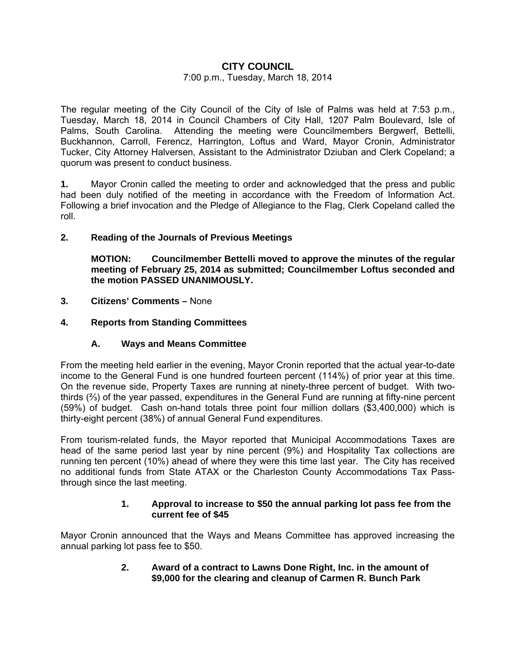# **CITY COUNCIL**

## 7:00 p.m., Tuesday, March 18, 2014

The regular meeting of the City Council of the City of Isle of Palms was held at 7:53 p.m., Tuesday, March 18, 2014 in Council Chambers of City Hall, 1207 Palm Boulevard, Isle of Palms, South Carolina. Attending the meeting were Councilmembers Bergwerf, Bettelli, Buckhannon, Carroll, Ferencz, Harrington, Loftus and Ward, Mayor Cronin, Administrator Tucker, City Attorney Halversen, Assistant to the Administrator Dziuban and Clerk Copeland; a quorum was present to conduct business.

**1.** Mayor Cronin called the meeting to order and acknowledged that the press and public had been duly notified of the meeting in accordance with the Freedom of Information Act. Following a brief invocation and the Pledge of Allegiance to the Flag, Clerk Copeland called the roll.

## **2. Reading of the Journals of Previous Meetings**

 **MOTION: Councilmember Bettelli moved to approve the minutes of the regular meeting of February 25, 2014 as submitted; Councilmember Loftus seconded and the motion PASSED UNANIMOUSLY.** 

- **3. Citizens' Comments** None
- **4. Reports from Standing Committees**

# **A. Ways and Means Committee**

From the meeting held earlier in the evening, Mayor Cronin reported that the actual year-to-date income to the General Fund is one hundred fourteen percent (114%) of prior year at this time. On the revenue side, Property Taxes are running at ninety-three percent of budget. With twothirds (⅔) of the year passed, expenditures in the General Fund are running at fifty-nine percent (59%) of budget. Cash on-hand totals three point four million dollars (\$3,400,000) which is thirty-eight percent (38%) of annual General Fund expenditures.

From tourism-related funds, the Mayor reported that Municipal Accommodations Taxes are head of the same period last year by nine percent (9%) and Hospitality Tax collections are running ten percent (10%) ahead of where they were this time last year. The City has received no additional funds from State ATAX or the Charleston County Accommodations Tax Passthrough since the last meeting.

#### **1. Approval to increase to \$50 the annual parking lot pass fee from the current fee of \$45**

Mayor Cronin announced that the Ways and Means Committee has approved increasing the annual parking lot pass fee to \$50.

> **2. Award of a contract to Lawns Done Right, Inc. in the amount of \$9,000 for the clearing and cleanup of Carmen R. Bunch Park**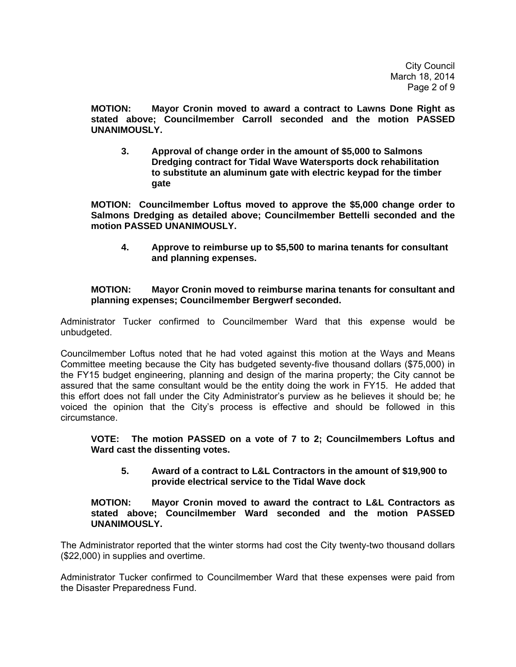**MOTION: Mayor Cronin moved to award a contract to Lawns Done Right as stated above; Councilmember Carroll seconded and the motion PASSED UNANIMOUSLY.** 

 **3. Approval of change order in the amount of \$5,000 to Salmons Dredging contract for Tidal Wave Watersports dock rehabilitation to substitute an aluminum gate with electric keypad for the timber gate** 

 **MOTION: Councilmember Loftus moved to approve the \$5,000 change order to Salmons Dredging as detailed above; Councilmember Bettelli seconded and the motion PASSED UNANIMOUSLY.** 

 **4. Approve to reimburse up to \$5,500 to marina tenants for consultant and planning expenses.** 

# **MOTION: Mayor Cronin moved to reimburse marina tenants for consultant and planning expenses; Councilmember Bergwerf seconded.**

Administrator Tucker confirmed to Councilmember Ward that this expense would be unbudgeted.

Councilmember Loftus noted that he had voted against this motion at the Ways and Means Committee meeting because the City has budgeted seventy-five thousand dollars (\$75,000) in the FY15 budget engineering, planning and design of the marina property; the City cannot be assured that the same consultant would be the entity doing the work in FY15. He added that this effort does not fall under the City Administrator's purview as he believes it should be; he voiced the opinion that the City's process is effective and should be followed in this circumstance.

**VOTE: The motion PASSED on a vote of 7 to 2; Councilmembers Loftus and Ward cast the dissenting votes.** 

 **5. Award of a contract to L&L Contractors in the amount of \$19,900 to provide electrical service to the Tidal Wave dock** 

### **MOTION: Mayor Cronin moved to award the contract to L&L Contractors as stated above; Councilmember Ward seconded and the motion PASSED UNANIMOUSLY.**

The Administrator reported that the winter storms had cost the City twenty-two thousand dollars (\$22,000) in supplies and overtime.

Administrator Tucker confirmed to Councilmember Ward that these expenses were paid from the Disaster Preparedness Fund.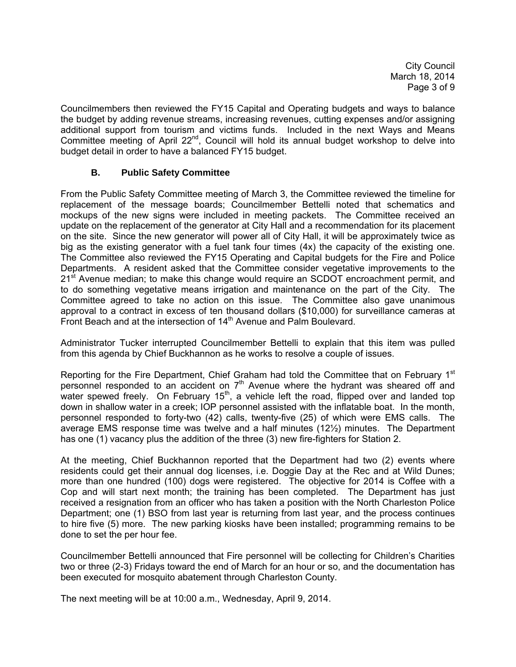City Council March 18, 2014 Page 3 of 9

Councilmembers then reviewed the FY15 Capital and Operating budgets and ways to balance the budget by adding revenue streams, increasing revenues, cutting expenses and/or assigning additional support from tourism and victims funds. Included in the next Ways and Means Committee meeting of April 22<sup>nd</sup>, Council will hold its annual budget workshop to delve into budget detail in order to have a balanced FY15 budget.

# **B. Public Safety Committee**

From the Public Safety Committee meeting of March 3, the Committee reviewed the timeline for replacement of the message boards; Councilmember Bettelli noted that schematics and mockups of the new signs were included in meeting packets. The Committee received an update on the replacement of the generator at City Hall and a recommendation for its placement on the site. Since the new generator will power all of City Hall, it will be approximately twice as big as the existing generator with a fuel tank four times (4x) the capacity of the existing one. The Committee also reviewed the FY15 Operating and Capital budgets for the Fire and Police Departments. A resident asked that the Committee consider vegetative improvements to the 21<sup>st</sup> Avenue median; to make this change would require an SCDOT encroachment permit, and to do something vegetative means irrigation and maintenance on the part of the City. The Committee agreed to take no action on this issue. The Committee also gave unanimous approval to a contract in excess of ten thousand dollars (\$10,000) for surveillance cameras at Front Beach and at the intersection of 14<sup>th</sup> Avenue and Palm Boulevard.

Administrator Tucker interrupted Councilmember Bettelli to explain that this item was pulled from this agenda by Chief Buckhannon as he works to resolve a couple of issues.

Reporting for the Fire Department, Chief Graham had told the Committee that on February 1<sup>st</sup> personnel responded to an accident on  $7<sup>th</sup>$  Avenue where the hydrant was sheared off and water spewed freely. On February 15<sup>th</sup>, a vehicle left the road, flipped over and landed top down in shallow water in a creek; IOP personnel assisted with the inflatable boat. In the month, personnel responded to forty-two (42) calls, twenty-five (25) of which were EMS calls. The average EMS response time was twelve and a half minutes (12½) minutes. The Department has one (1) vacancy plus the addition of the three (3) new fire-fighters for Station 2.

At the meeting, Chief Buckhannon reported that the Department had two (2) events where residents could get their annual dog licenses, i.e. Doggie Day at the Rec and at Wild Dunes; more than one hundred (100) dogs were registered. The objective for 2014 is Coffee with a Cop and will start next month; the training has been completed. The Department has just received a resignation from an officer who has taken a position with the North Charleston Police Department; one (1) BSO from last year is returning from last year, and the process continues to hire five (5) more. The new parking kiosks have been installed; programming remains to be done to set the per hour fee.

Councilmember Bettelli announced that Fire personnel will be collecting for Children's Charities two or three (2-3) Fridays toward the end of March for an hour or so, and the documentation has been executed for mosquito abatement through Charleston County.

The next meeting will be at 10:00 a.m., Wednesday, April 9, 2014.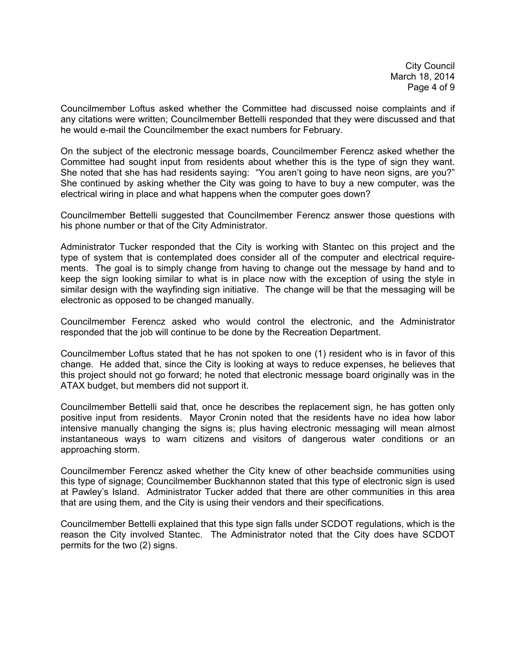City Council March 18, 2014 Page 4 of 9

Councilmember Loftus asked whether the Committee had discussed noise complaints and if any citations were written; Councilmember Bettelli responded that they were discussed and that he would e-mail the Councilmember the exact numbers for February.

On the subject of the electronic message boards, Councilmember Ferencz asked whether the Committee had sought input from residents about whether this is the type of sign they want. She noted that she has had residents saying: "You aren't going to have neon signs, are you?" She continued by asking whether the City was going to have to buy a new computer, was the electrical wiring in place and what happens when the computer goes down?

Councilmember Bettelli suggested that Councilmember Ferencz answer those questions with his phone number or that of the City Administrator.

Administrator Tucker responded that the City is working with Stantec on this project and the type of system that is contemplated does consider all of the computer and electrical requirements. The goal is to simply change from having to change out the message by hand and to keep the sign looking similar to what is in place now with the exception of using the style in similar design with the wayfinding sign initiative. The change will be that the messaging will be electronic as opposed to be changed manually.

Councilmember Ferencz asked who would control the electronic, and the Administrator responded that the job will continue to be done by the Recreation Department.

Councilmember Loftus stated that he has not spoken to one (1) resident who is in favor of this change. He added that, since the City is looking at ways to reduce expenses, he believes that this project should not go forward; he noted that electronic message board originally was in the ATAX budget, but members did not support it.

Councilmember Bettelli said that, once he describes the replacement sign, he has gotten only positive input from residents. Mayor Cronin noted that the residents have no idea how labor intensive manually changing the signs is; plus having electronic messaging will mean almost instantaneous ways to warn citizens and visitors of dangerous water conditions or an approaching storm.

Councilmember Ferencz asked whether the City knew of other beachside communities using this type of signage; Councilmember Buckhannon stated that this type of electronic sign is used at Pawley's Island. Administrator Tucker added that there are other communities in this area that are using them, and the City is using their vendors and their specifications.

Councilmember Bettelli explained that this type sign falls under SCDOT regulations, which is the reason the City involved Stantec. The Administrator noted that the City does have SCDOT permits for the two (2) signs.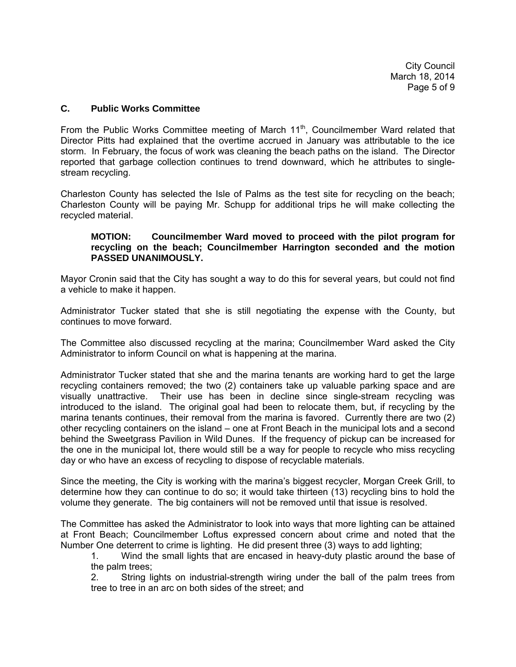City Council March 18, 2014 Page 5 of 9

## **C. Public Works Committee**

From the Public Works Committee meeting of March  $11<sup>th</sup>$ , Councilmember Ward related that Director Pitts had explained that the overtime accrued in January was attributable to the ice storm. In February, the focus of work was cleaning the beach paths on the island. The Director reported that garbage collection continues to trend downward, which he attributes to singlestream recycling.

Charleston County has selected the Isle of Palms as the test site for recycling on the beach; Charleston County will be paying Mr. Schupp for additional trips he will make collecting the recycled material.

### **MOTION: Councilmember Ward moved to proceed with the pilot program for recycling on the beach; Councilmember Harrington seconded and the motion PASSED UNANIMOUSLY.**

Mayor Cronin said that the City has sought a way to do this for several years, but could not find a vehicle to make it happen.

Administrator Tucker stated that she is still negotiating the expense with the County, but continues to move forward.

The Committee also discussed recycling at the marina; Councilmember Ward asked the City Administrator to inform Council on what is happening at the marina.

Administrator Tucker stated that she and the marina tenants are working hard to get the large recycling containers removed; the two (2) containers take up valuable parking space and are visually unattractive. Their use has been in decline since single-stream recycling was introduced to the island. The original goal had been to relocate them, but, if recycling by the marina tenants continues, their removal from the marina is favored. Currently there are two (2) other recycling containers on the island – one at Front Beach in the municipal lots and a second behind the Sweetgrass Pavilion in Wild Dunes. If the frequency of pickup can be increased for the one in the municipal lot, there would still be a way for people to recycle who miss recycling day or who have an excess of recycling to dispose of recyclable materials.

Since the meeting, the City is working with the marina's biggest recycler, Morgan Creek Grill, to determine how they can continue to do so; it would take thirteen (13) recycling bins to hold the volume they generate. The big containers will not be removed until that issue is resolved.

The Committee has asked the Administrator to look into ways that more lighting can be attained at Front Beach; Councilmember Loftus expressed concern about crime and noted that the Number One deterrent to crime is lighting. He did present three (3) ways to add lighting;

 1. Wind the small lights that are encased in heavy-duty plastic around the base of the palm trees;

 2. String lights on industrial-strength wiring under the ball of the palm trees from tree to tree in an arc on both sides of the street; and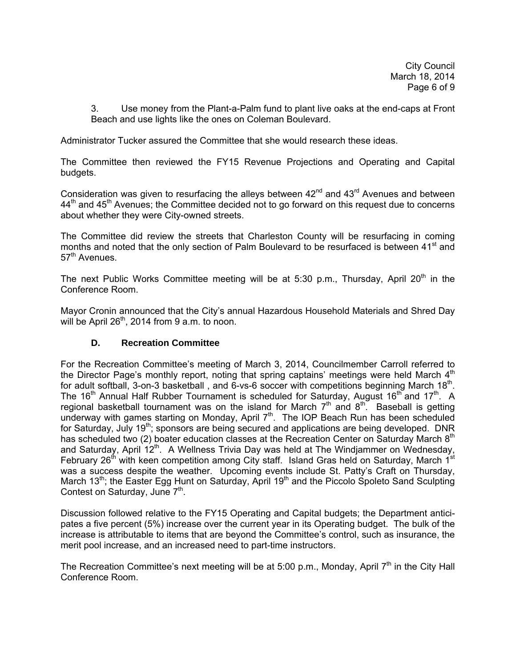3. Use money from the Plant-a-Palm fund to plant live oaks at the end-caps at Front Beach and use lights like the ones on Coleman Boulevard.

Administrator Tucker assured the Committee that she would research these ideas.

The Committee then reviewed the FY15 Revenue Projections and Operating and Capital budgets.

Consideration was given to resurfacing the alleys between  $42<sup>nd</sup>$  and  $43<sup>rd</sup>$  Avenues and between 44<sup>th</sup> and 45<sup>th</sup> Avenues; the Committee decided not to go forward on this request due to concerns about whether they were City-owned streets.

The Committee did review the streets that Charleston County will be resurfacing in coming months and noted that the only section of Palm Boulevard to be resurfaced is between 41<sup>st</sup> and 57<sup>th</sup> Avenues.

The next Public Works Committee meeting will be at 5:30 p.m., Thursday, April 20<sup>th</sup> in the Conference Room.

Mayor Cronin announced that the City's annual Hazardous Household Materials and Shred Day will be April  $26<sup>th</sup>$ , 2014 from 9 a.m. to noon.

# **D. Recreation Committee**

For the Recreation Committee's meeting of March 3, 2014, Councilmember Carroll referred to the Director Page's monthly report, noting that spring captains' meetings were held March  $4<sup>th</sup>$ for adult softball, 3-on-3 basketball, and 6-vs-6 soccer with competitions beginning March  $18<sup>th</sup>$ . The 16<sup>th</sup> Annual Half Rubber Tournament is scheduled for Saturday, August 16<sup>th</sup> and 17<sup>th</sup>. A regional basketball tournament was on the island for March  $7<sup>th</sup>$  and  $8<sup>th</sup>$ . Baseball is getting underway with games starting on Monday, April 7<sup>th</sup>. The IOP Beach Run has been scheduled for Saturday, July  $19<sup>th</sup>$ ; sponsors are being secured and applications are being developed. DNR has scheduled two (2) boater education classes at the Recreation Center on Saturday March 8<sup>th</sup> and Saturday, April  $12^{th}$ . A Wellness Trivia Day was held at The Windjammer on Wednesday, February 26<sup>th</sup> with keen competition among City staff. Island Gras held on Saturday, March 1<sup>st</sup> was a success despite the weather. Upcoming events include St. Patty's Craft on Thursday, March 13<sup>th</sup>; the Easter Egg Hunt on Saturday, April 19<sup>th</sup> and the Piccolo Spoleto Sand Sculpting Contest on Saturday, June  $7<sup>th</sup>$ .

Discussion followed relative to the FY15 Operating and Capital budgets; the Department anticipates a five percent (5%) increase over the current year in its Operating budget. The bulk of the increase is attributable to items that are beyond the Committee's control, such as insurance, the merit pool increase, and an increased need to part-time instructors.

The Recreation Committee's next meeting will be at 5:00 p.m., Monday, April  $7<sup>th</sup>$  in the City Hall Conference Room.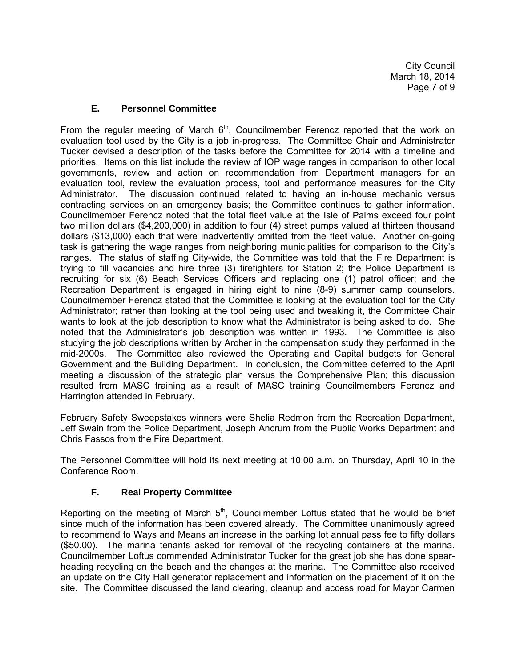# **E. Personnel Committee**

From the regular meeting of March  $6<sup>th</sup>$ , Councilmember Ferencz reported that the work on evaluation tool used by the City is a job in-progress. The Committee Chair and Administrator Tucker devised a description of the tasks before the Committee for 2014 with a timeline and priorities. Items on this list include the review of IOP wage ranges in comparison to other local governments, review and action on recommendation from Department managers for an evaluation tool, review the evaluation process, tool and performance measures for the City Administrator. The discussion continued related to having an in-house mechanic versus contracting services on an emergency basis; the Committee continues to gather information. Councilmember Ferencz noted that the total fleet value at the Isle of Palms exceed four point two million dollars (\$4,200,000) in addition to four (4) street pumps valued at thirteen thousand dollars (\$13,000) each that were inadvertently omitted from the fleet value. Another on-going task is gathering the wage ranges from neighboring municipalities for comparison to the City's ranges. The status of staffing City-wide, the Committee was told that the Fire Department is trying to fill vacancies and hire three (3) firefighters for Station 2; the Police Department is recruiting for six (6) Beach Services Officers and replacing one (1) patrol officer; and the Recreation Department is engaged in hiring eight to nine (8-9) summer camp counselors. Councilmember Ferencz stated that the Committee is looking at the evaluation tool for the City Administrator; rather than looking at the tool being used and tweaking it, the Committee Chair wants to look at the job description to know what the Administrator is being asked to do. She noted that the Administrator's job description was written in 1993. The Committee is also studying the job descriptions written by Archer in the compensation study they performed in the mid-2000s. The Committee also reviewed the Operating and Capital budgets for General Government and the Building Department. In conclusion, the Committee deferred to the April meeting a discussion of the strategic plan versus the Comprehensive Plan; this discussion resulted from MASC training as a result of MASC training Councilmembers Ferencz and Harrington attended in February.

February Safety Sweepstakes winners were Shelia Redmon from the Recreation Department, Jeff Swain from the Police Department, Joseph Ancrum from the Public Works Department and Chris Fassos from the Fire Department.

The Personnel Committee will hold its next meeting at 10:00 a.m. on Thursday, April 10 in the Conference Room.

# **F. Real Property Committee**

Reporting on the meeting of March  $5<sup>th</sup>$ , Councilmember Loftus stated that he would be brief since much of the information has been covered already. The Committee unanimously agreed to recommend to Ways and Means an increase in the parking lot annual pass fee to fifty dollars (\$50.00). The marina tenants asked for removal of the recycling containers at the marina. Councilmember Loftus commended Administrator Tucker for the great job she has done spearheading recycling on the beach and the changes at the marina. The Committee also received an update on the City Hall generator replacement and information on the placement of it on the site. The Committee discussed the land clearing, cleanup and access road for Mayor Carmen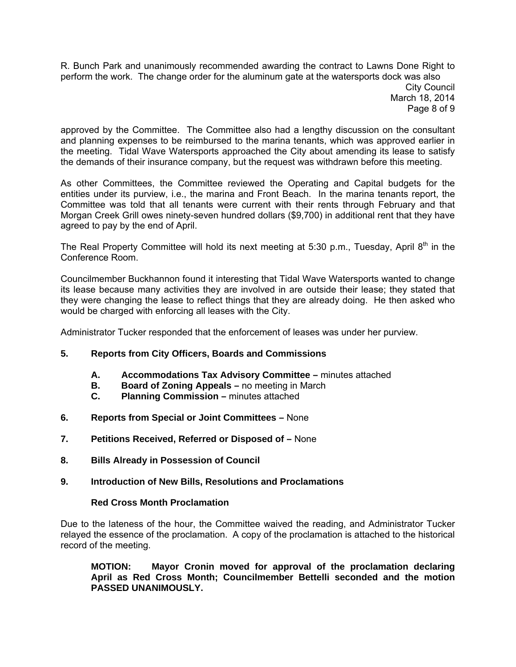R. Bunch Park and unanimously recommended awarding the contract to Lawns Done Right to perform the work. The change order for the aluminum gate at the watersports dock was also City Council March 18, 2014 Page 8 of 9

approved by the Committee. The Committee also had a lengthy discussion on the consultant and planning expenses to be reimbursed to the marina tenants, which was approved earlier in the meeting. Tidal Wave Watersports approached the City about amending its lease to satisfy the demands of their insurance company, but the request was withdrawn before this meeting.

As other Committees, the Committee reviewed the Operating and Capital budgets for the entities under its purview, i.e., the marina and Front Beach. In the marina tenants report, the Committee was told that all tenants were current with their rents through February and that Morgan Creek Grill owes ninety-seven hundred dollars (\$9,700) in additional rent that they have agreed to pay by the end of April.

The Real Property Committee will hold its next meeting at 5:30 p.m., Tuesday, April  $8<sup>th</sup>$  in the Conference Room.

Councilmember Buckhannon found it interesting that Tidal Wave Watersports wanted to change its lease because many activities they are involved in are outside their lease; they stated that they were changing the lease to reflect things that they are already doing. He then asked who would be charged with enforcing all leases with the City.

Administrator Tucker responded that the enforcement of leases was under her purview.

# **5. Reports from City Officers, Boards and Commissions**

- **A. Accommodations Tax Advisory Committee** minutes attached
- **B. Board of Zoning Appeals** no meeting in March
- **C. Planning Commission** minutes attached
- **6. Reports from Special or Joint Committees** None
- **7. Petitions Received, Referred or Disposed of** None
- **8. Bills Already in Possession of Council**

#### **9. Introduction of New Bills, Resolutions and Proclamations**

#### **Red Cross Month Proclamation**

Due to the lateness of the hour, the Committee waived the reading, and Administrator Tucker relayed the essence of the proclamation. A copy of the proclamation is attached to the historical record of the meeting.

**MOTION: Mayor Cronin moved for approval of the proclamation declaring April as Red Cross Month; Councilmember Bettelli seconded and the motion PASSED UNANIMOUSLY.**